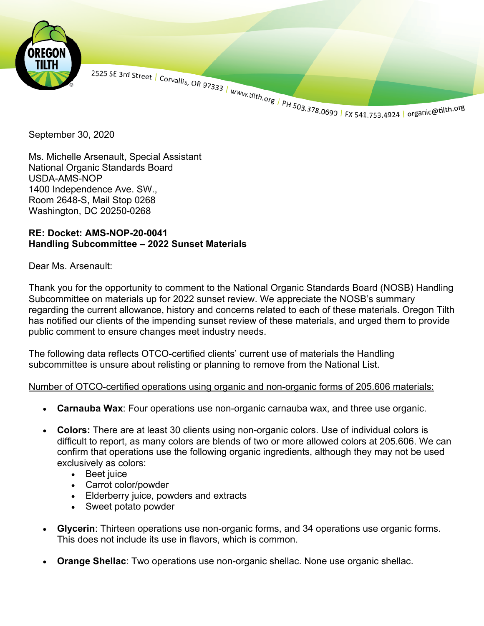

Ms. Michelle Arsenault, Special Assistant National Organic Standards Board USDA-AMS-NOP 1400 Independence Ave. SW., Room 2648-S, Mail Stop 0268 Washington, DC 20250-0268

### **RE: Docket: AMS-NOP-20-0041 Handling Subcommittee – 2022 Sunset Materials**

### Dear Ms. Arsenault:

Thank you for the opportunity to comment to the National Organic Standards Board (NOSB) Handling Subcommittee on materials up for 2022 sunset review. We appreciate the NOSB's summary regarding the current allowance, history and concerns related to each of these materials. Oregon Tilth has notified our clients of the impending sunset review of these materials, and urged them to provide public comment to ensure changes meet industry needs.

The following data reflects OTCO-certified clients' current use of materials the Handling subcommittee is unsure about relisting or planning to remove from the National List.

## Number of OTCO-certified operations using organic and non-organic forms of 205.606 materials:

- **Carnauba Wax**: Four operations use non-organic carnauba wax, and three use organic.
- Colors: There are at least 30 clients using non-organic colors. Use of individual colors is difficult to report, as many colors are blends of two or more allowed colors at 205.606. We can confirm that operations use the following organic ingredients, although they may not be used exclusively as colors:
	- Beet juice
	- Carrot color/powder
	- Elderberry juice, powders and extracts
	- Sweet potato powder
- **Glycerin**: Thirteen operations use non-organic forms, and 34 operations use organic forms. This does not include its use in flavors, which is common.
- **Orange Shellac**: Two operations use non-organic shellac. None use organic shellac.